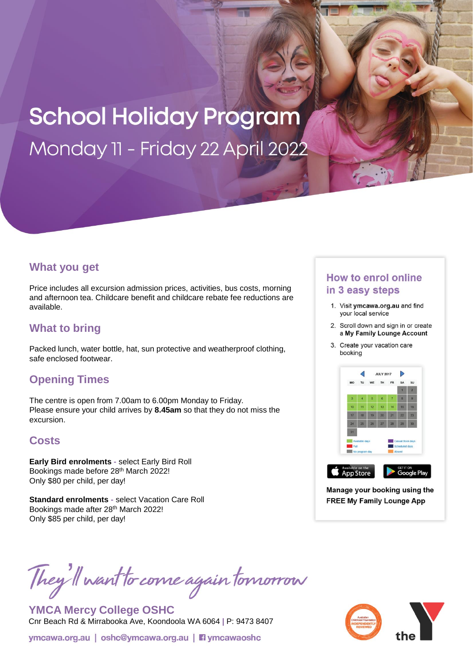# **School Holiday Program** Monday 11 - Friday 22 April 2022

#### **What you get**

Price includes all excursion admission prices, activities, bus costs, morning and afternoon tea. Childcare benefit and childcare rebate fee reductions are available.

## **What to bring**

Packed lunch, water bottle, hat, sun protective and weatherproof clothing, safe enclosed footwear.

### **Opening Times**

The centre is open from 7.00am to 6.00pm Monday to Friday. Please ensure your child arrives by **8.45am** so that they do not miss the excursion.

### **Costs**

**Early Bird enrolments -** select Early Bird Roll Bookings made before 28th March 2022! Only \$80 per child, per day!

**Standard enrolments -** select Vacation Care Roll Bookings made after 28th March 2022! Only \$85 per child, per day!

# They'll want to come again tomorrow

**YMCA Mercy College OSHC** Cnr Beach Rd & Mirrabooka Ave, Koondoola WA 6064 **|** P: 9473 8407

#### **How to enrol online** in 3 easy steps

- 1. Visit ymcawa.org.au and find your local service
- 2. Scroll down and sign in or create a My Family Lounge Account
- 3. Create your vacation care booking



Manage your booking using the **FREE My Family Lounge App**